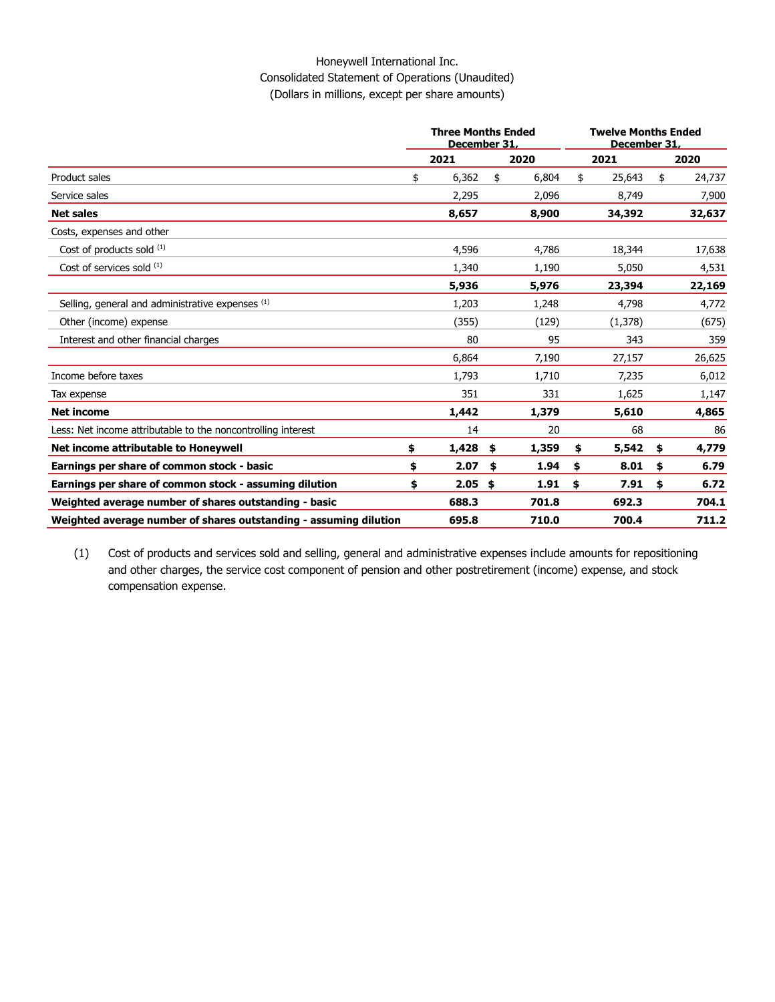### Honeywell International Inc. Consolidated Statement of Operations (Unaudited) (Dollars in millions, except per share amounts)

|                                                                   | <b>Three Months Ended</b><br>December 31, |       |    |       | <b>Twelve Months Ended</b><br>December 31. |         |    |        |
|-------------------------------------------------------------------|-------------------------------------------|-------|----|-------|--------------------------------------------|---------|----|--------|
|                                                                   |                                           | 2021  |    | 2020  |                                            | 2021    |    | 2020   |
| Product sales                                                     | \$                                        | 6,362 | \$ | 6,804 | \$                                         | 25,643  | \$ | 24,737 |
| Service sales                                                     |                                           | 2,295 |    | 2,096 |                                            | 8,749   |    | 7,900  |
| <b>Net sales</b>                                                  |                                           | 8,657 |    | 8,900 |                                            | 34,392  |    | 32,637 |
| Costs, expenses and other                                         |                                           |       |    |       |                                            |         |    |        |
| Cost of products sold (1)                                         |                                           | 4,596 |    | 4,786 |                                            | 18,344  |    | 17,638 |
| Cost of services sold $(1)$                                       |                                           | 1,340 |    | 1,190 |                                            | 5,050   |    | 4,531  |
|                                                                   |                                           | 5,936 |    | 5,976 |                                            | 23,394  |    | 22,169 |
| Selling, general and administrative expenses (1)                  |                                           | 1,203 |    | 1,248 |                                            | 4,798   |    | 4,772  |
| Other (income) expense                                            |                                           | (355) |    | (129) |                                            | (1,378) |    | (675)  |
| Interest and other financial charges                              |                                           | 80    |    | 95    |                                            | 343     |    | 359    |
|                                                                   |                                           | 6,864 |    | 7,190 |                                            | 27,157  |    | 26,625 |
| Income before taxes                                               |                                           | 1.793 |    | 1,710 |                                            | 7,235   |    | 6,012  |
| Tax expense                                                       |                                           | 351   |    | 331   |                                            | 1,625   |    | 1,147  |
| <b>Net income</b>                                                 |                                           | 1,442 |    | 1,379 |                                            | 5,610   |    | 4,865  |
| Less: Net income attributable to the noncontrolling interest      |                                           | 14    |    | 20    |                                            | 68      |    | 86     |
| Net income attributable to Honeywell                              | \$                                        | 1,428 | \$ | 1,359 | \$                                         | 5,542   | \$ | 4,779  |
| Earnings per share of common stock - basic                        | \$                                        | 2.07  | \$ | 1.94  | \$                                         | 8.01    | \$ | 6.79   |
| Earnings per share of common stock - assuming dilution            | \$                                        | 2.05  | \$ | 1.91  | \$                                         | 7.91    | \$ | 6.72   |
| Weighted average number of shares outstanding - basic             |                                           | 688.3 |    | 701.8 |                                            | 692.3   |    | 704.1  |
| Weighted average number of shares outstanding - assuming dilution |                                           | 695.8 |    | 710.0 |                                            | 700.4   |    | 711.2  |

(1) Cost of products and services sold and selling, general and administrative expenses include amounts for repositioning and other charges, the service cost component of pension and other postretirement (income) expense, and stock compensation expense.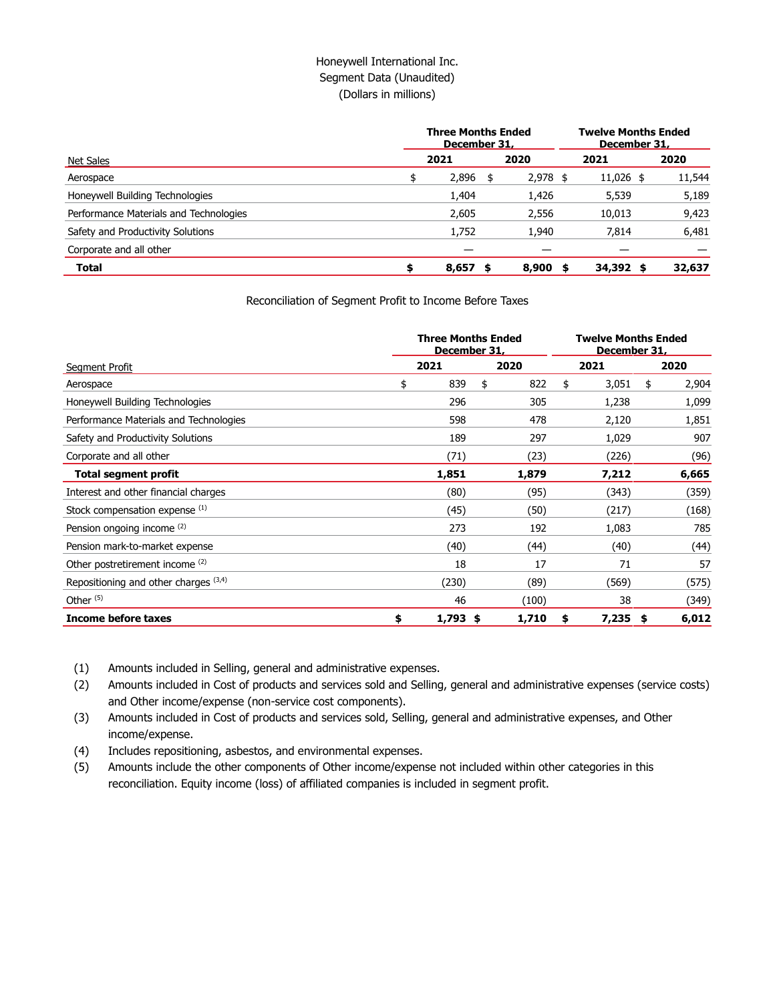## Honeywell International Inc. Segment Data (Unaudited) (Dollars in millions)

|                                        | <b>Three Months Ended</b><br>December 31, | <b>Twelve Months Ended</b><br>December 31, |           |        |  |  |
|----------------------------------------|-------------------------------------------|--------------------------------------------|-----------|--------|--|--|
| Net Sales                              | 2021                                      | 2020                                       | 2021      | 2020   |  |  |
| Aerospace                              | \$<br>2,896                               | \$<br>$2,978$ \$                           | 11,026 \$ | 11,544 |  |  |
| Honeywell Building Technologies        | 1,404                                     | 1,426                                      | 5,539     | 5,189  |  |  |
| Performance Materials and Technologies | 2,605                                     | 2,556                                      | 10,013    | 9,423  |  |  |
| Safety and Productivity Solutions      | 1,752                                     | 1,940                                      | 7,814     | 6,481  |  |  |
| Corporate and all other                |                                           |                                            |           |        |  |  |
| <b>Total</b>                           | \$<br>$8,657$ \$                          | 8,900<br>- 5                               | 34,392 \$ | 32,637 |  |  |

Reconciliation of Segment Profit to Income Before Taxes

|                                         |      | <b>Three Months Ended</b><br>December 31, |       |     |             | <b>Twelve Months Ended</b><br>December 31, |       |  |
|-----------------------------------------|------|-------------------------------------------|-------|-----|-------------|--------------------------------------------|-------|--|
| Segment Profit                          | 2021 |                                           | 2020  |     | 2021        | 2020                                       |       |  |
| Aerospace                               | \$   | 839                                       | \$    | 822 | \$<br>3,051 | \$                                         | 2,904 |  |
| Honeywell Building Technologies         |      | 296                                       |       | 305 | 1,238       |                                            | 1,099 |  |
| Performance Materials and Technologies  |      | 598                                       |       | 478 | 2,120       |                                            | 1,851 |  |
| Safety and Productivity Solutions       |      | 189                                       |       | 297 | 1,029       |                                            | 907   |  |
| Corporate and all other                 |      | (71)                                      | (23)  |     | (226)       |                                            | (96)  |  |
| <b>Total segment profit</b>             |      | 1,851                                     | 1,879 |     | 7,212       |                                            | 6,665 |  |
| Interest and other financial charges    |      | (80)                                      | (95)  |     | (343)       |                                            | (359) |  |
| Stock compensation expense (1)          |      | (45)                                      | (50)  |     | (217)       |                                            | (168) |  |
| Pension ongoing income (2)              |      | 273                                       |       | 192 | 1,083       |                                            | 785   |  |
| Pension mark-to-market expense          |      | (40)                                      | (44)  |     | (40)        |                                            | (44)  |  |
| Other postretirement income (2)         |      | 18                                        |       | 17  | 71          |                                            | 57    |  |
| Repositioning and other charges $(3,4)$ |      | (230)                                     | (89)  |     | (569)       |                                            | (575) |  |
| Other $(5)$                             |      | 46                                        | (100) |     | 38          |                                            | (349) |  |
| <b>Income before taxes</b>              | \$   | $1,793$ \$                                | 1,710 |     | \$<br>7,235 | -\$                                        | 6,012 |  |

(1) Amounts included in Selling, general and administrative expenses.

(2) Amounts included in Cost of products and services sold and Selling, general and administrative expenses (service costs) and Other income/expense (non-service cost components).

(3) Amounts included in Cost of products and services sold, Selling, general and administrative expenses, and Other income/expense.

(4) Includes repositioning, asbestos, and environmental expenses.

(5) Amounts include the other components of Other income/expense not included within other categories in this reconciliation. Equity income (loss) of affiliated companies is included in segment profit.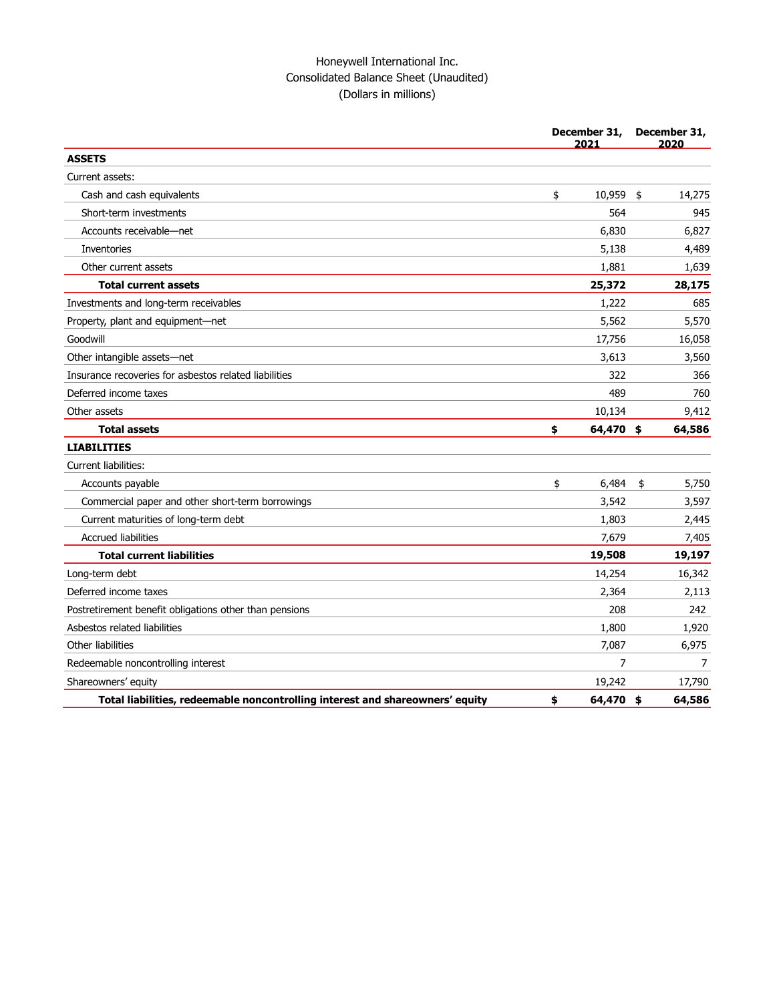# Honeywell International Inc. Consolidated Balance Sheet (Unaudited) (Dollars in millions)

|                                                                               | December 31,<br>2021 | December 31,<br>2020 |        |  |
|-------------------------------------------------------------------------------|----------------------|----------------------|--------|--|
| <b>ASSETS</b>                                                                 |                      |                      |        |  |
| Current assets:                                                               |                      |                      |        |  |
| Cash and cash equivalents                                                     | \$<br>10,959         | \$                   | 14,275 |  |
| Short-term investments                                                        | 564                  |                      | 945    |  |
| Accounts receivable-net                                                       | 6,830                |                      | 6,827  |  |
| Inventories                                                                   | 5,138                |                      | 4,489  |  |
| Other current assets                                                          | 1,881                |                      | 1,639  |  |
| <b>Total current assets</b>                                                   | 25,372               |                      | 28,175 |  |
| Investments and long-term receivables                                         | 1,222                |                      | 685    |  |
| Property, plant and equipment-net                                             | 5,562                |                      | 5,570  |  |
| Goodwill                                                                      | 17,756               |                      | 16,058 |  |
| Other intangible assets-net                                                   | 3,613                |                      | 3,560  |  |
| Insurance recoveries for asbestos related liabilities                         | 322                  |                      | 366    |  |
| Deferred income taxes                                                         | 489                  |                      | 760    |  |
| Other assets                                                                  | 10,134               |                      | 9,412  |  |
| <b>Total assets</b>                                                           | \$<br>64,470 \$      |                      | 64,586 |  |
| <b>LIABILITIES</b>                                                            |                      |                      |        |  |
| Current liabilities:                                                          |                      |                      |        |  |
| Accounts payable                                                              | \$<br>6,484          | \$                   | 5,750  |  |
| Commercial paper and other short-term borrowings                              | 3,542                |                      | 3,597  |  |
| Current maturities of long-term debt                                          | 1,803                |                      | 2,445  |  |
| <b>Accrued liabilities</b>                                                    | 7,679                |                      | 7,405  |  |
| <b>Total current liabilities</b>                                              | 19,508               |                      | 19,197 |  |
| Long-term debt                                                                | 14,254               |                      | 16,342 |  |
| Deferred income taxes                                                         | 2,364                |                      | 2,113  |  |
| Postretirement benefit obligations other than pensions                        | 208                  |                      | 242    |  |
| Asbestos related liabilities                                                  | 1,800                |                      | 1,920  |  |
| Other liabilities                                                             | 7,087                |                      | 6,975  |  |
| Redeemable noncontrolling interest                                            | 7                    |                      | 7      |  |
| Shareowners' equity                                                           | 19,242               |                      | 17,790 |  |
| Total liabilities, redeemable noncontrolling interest and shareowners' equity | \$<br>64,470 \$      |                      | 64,586 |  |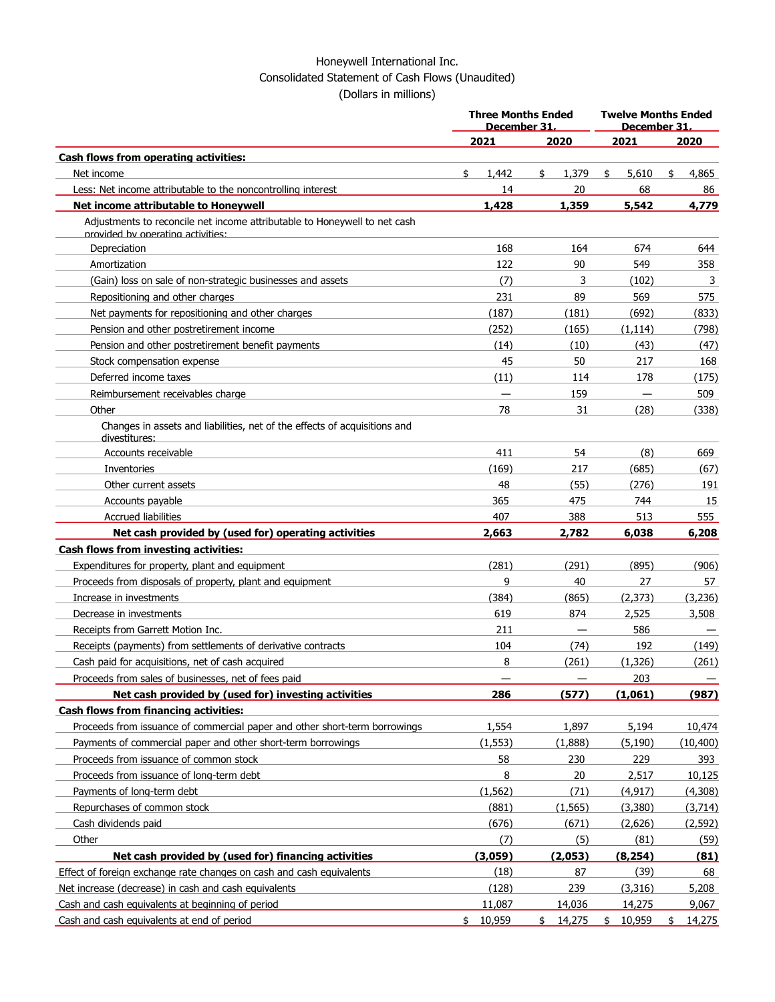## Honeywell International Inc. Consolidated Statement of Cash Flows (Unaudited) (Dollars in millions)

|                                                                                                                | <b>Three Months Ended</b><br>December 31. |             | <b>Twelve Months Ended</b><br>December 31. |              |  |  |
|----------------------------------------------------------------------------------------------------------------|-------------------------------------------|-------------|--------------------------------------------|--------------|--|--|
|                                                                                                                | 2021                                      | 2020        | 2021                                       | 2020         |  |  |
| Cash flows from operating activities:                                                                          |                                           |             |                                            |              |  |  |
| Net income                                                                                                     | \$<br>1,442                               | \$<br>1,379 | \$<br>5.610                                | \$<br>4,865  |  |  |
| Less: Net income attributable to the noncontrolling interest                                                   | 14                                        | 20          | 68                                         | 86           |  |  |
| Net income attributable to Honeywell                                                                           | 1,428                                     | 1,359       | 5,542                                      | 4,779        |  |  |
| Adjustments to reconcile net income attributable to Honeywell to net cash<br>provided by operating activities: |                                           |             |                                            |              |  |  |
| Depreciation                                                                                                   | 168                                       | 164         | 674                                        | 644          |  |  |
| Amortization                                                                                                   | 122                                       | 90          | 549                                        | 358          |  |  |
| (Gain) loss on sale of non-strategic businesses and assets                                                     | (7)                                       | 3           | (102)                                      | 3            |  |  |
| Repositioning and other charges                                                                                | 231                                       | 89          | 569                                        | 575          |  |  |
| Net payments for repositioning and other charges                                                               | (187)                                     | (181)       | (692)                                      | (833)        |  |  |
| Pension and other postretirement income                                                                        | (252)                                     | (165)       | (1, 114)                                   | (798)        |  |  |
| Pension and other postretirement benefit payments                                                              | (14)                                      | (10)        | (43)                                       | (47)         |  |  |
| Stock compensation expense                                                                                     | 45                                        | 50          | 217                                        | 168          |  |  |
| Deferred income taxes                                                                                          | (11)                                      | 114         | 178                                        | (175)        |  |  |
| Reimbursement receivables charge                                                                               | $\qquad \qquad \longleftarrow$            | 159         | $\overline{\phantom{m}}$                   | 509          |  |  |
| Other                                                                                                          | 78                                        | 31          | (28)                                       | (338)        |  |  |
| Changes in assets and liabilities, net of the effects of acquisitions and<br>divestitures:                     |                                           |             |                                            |              |  |  |
| Accounts receivable                                                                                            | 411                                       | 54          | (8)                                        | 669          |  |  |
| Inventories                                                                                                    | (169)                                     | 217         | (685)                                      | (67)         |  |  |
| Other current assets                                                                                           | 48                                        | (55)        | (276)                                      | 191          |  |  |
| Accounts payable                                                                                               | 365                                       | 475         | 744                                        | 15           |  |  |
| <b>Accrued liabilities</b>                                                                                     | 407                                       | 388         | 513                                        | 555          |  |  |
| Net cash provided by (used for) operating activities                                                           | 2,663                                     | 2,782       | 6,038                                      | 6,208        |  |  |
| <b>Cash flows from investing activities:</b>                                                                   |                                           |             |                                            |              |  |  |
| Expenditures for property, plant and equipment                                                                 | (281)                                     | (291)       | (895)                                      | (906)        |  |  |
| Proceeds from disposals of property, plant and equipment                                                       | 9                                         | 40          | 27                                         | 57           |  |  |
| Increase in investments                                                                                        | (384)                                     | (865)       | (2,373)                                    | (3,236)      |  |  |
| Decrease in investments                                                                                        | 619                                       | 874         | 2,525                                      | 3,508        |  |  |
| Receipts from Garrett Motion Inc.                                                                              | 211                                       |             | 586                                        |              |  |  |
| Receipts (payments) from settlements of derivative contracts                                                   | 104                                       | (74)        | 192                                        | (149)        |  |  |
| Cash paid for acquisitions, net of cash acquired                                                               | 8                                         | (261)       | (1,326)                                    | (261)        |  |  |
| Proceeds from sales of businesses, net of fees paid                                                            |                                           |             | 203                                        | —            |  |  |
| Net cash provided by (used for) investing activities                                                           | 286                                       | (577)       | (1,061)                                    | (987)        |  |  |
| <b>Cash flows from financing activities:</b>                                                                   |                                           |             |                                            |              |  |  |
| Proceeds from issuance of commercial paper and other short-term borrowings                                     | 1,554                                     | 1,897       | 5,194                                      | 10,474       |  |  |
| Payments of commercial paper and other short-term borrowings                                                   | (1, 553)                                  | (1,888)     | (5,190)                                    | (10, 400)    |  |  |
| Proceeds from issuance of common stock                                                                         | 58                                        | 230         | 229                                        | 393          |  |  |
| Proceeds from issuance of long-term debt                                                                       | 8                                         | 20          | 2,517                                      | 10,125       |  |  |
| Payments of long-term debt                                                                                     | (1, 562)                                  | (71)        | (4, 917)                                   | (4,308)      |  |  |
| Repurchases of common stock                                                                                    | (881)                                     | (1, 565)    | (3,380)                                    | (3,714)      |  |  |
| Cash dividends paid                                                                                            | (676)                                     | (671)       | (2,626)                                    | (2, 592)     |  |  |
| Other                                                                                                          | (7)                                       | (5)         | (81)                                       | (59)         |  |  |
| Net cash provided by (used for) financing activities                                                           | (3,059)                                   | (2,053)     | (8, 254)                                   | (81)         |  |  |
| Effect of foreign exchange rate changes on cash and cash equivalents                                           | (18)                                      | 87          | (39)                                       | 68           |  |  |
| Net increase (decrease) in cash and cash equivalents                                                           | (128)                                     | 239         | (3,316)                                    | 5,208        |  |  |
| Cash and cash equivalents at beginning of period                                                               | 11,087                                    | 14,036      | 14,275                                     | 9,067        |  |  |
| Cash and cash equivalents at end of period                                                                     | \$10,959                                  | \$14,275    | \$10,959                                   | 14,275<br>\$ |  |  |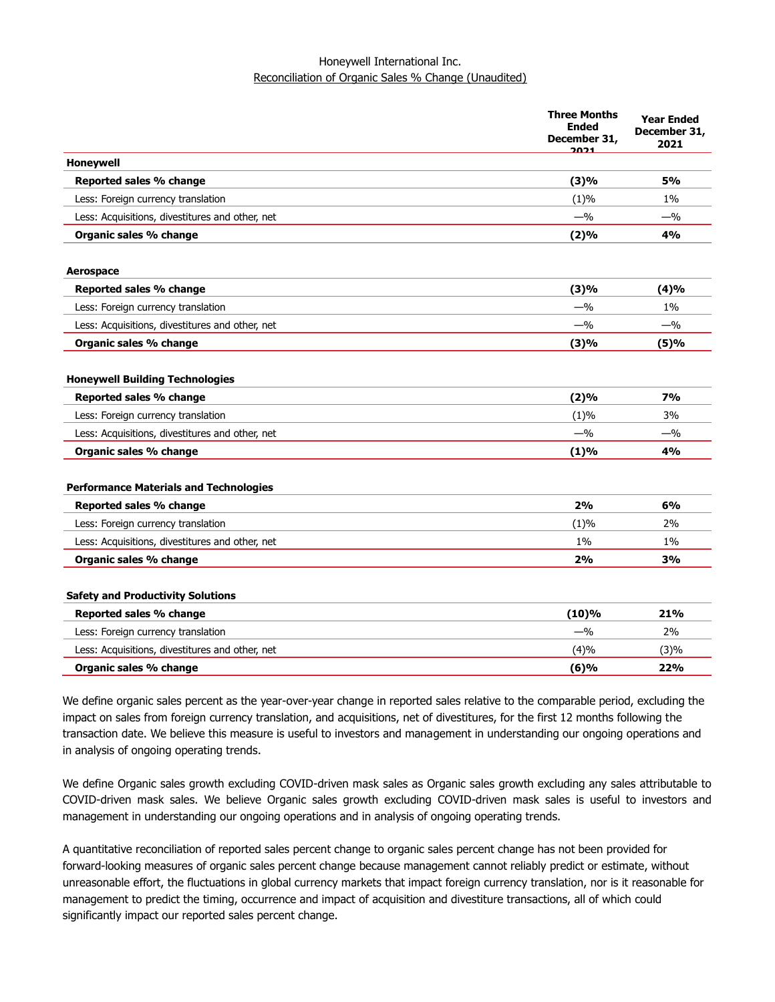### Honeywell International Inc. Reconciliation of Organic Sales % Change (Unaudited)

|                                                 | <b>Three Months</b><br><b>Ended</b><br>December 31,<br><u>בכמכ</u> | <b>Year Ended</b><br>December 31,<br>2021 |
|-------------------------------------------------|--------------------------------------------------------------------|-------------------------------------------|
| Honeywell                                       |                                                                    |                                           |
| Reported sales % change                         | (3)%                                                               | <b>5%</b>                                 |
| Less: Foreign currency translation              | (1)%                                                               | 1%                                        |
| Less: Acquisitions, divestitures and other, net | $-$ %                                                              | $-$ %                                     |
| Organic sales % change                          | (2)%                                                               | 4%                                        |
| Aerospace                                       |                                                                    |                                           |
| Reported sales % change                         | (3)%                                                               | (4)%                                      |
| Less: Foreign currency translation              | $-$ %                                                              | 1%                                        |
| Less: Acquisitions, divestitures and other, net | $-$ %                                                              | $-$ %                                     |
| Organic sales % change                          | (3)%                                                               | (5)%                                      |
| <b>Honeywell Building Technologies</b>          |                                                                    |                                           |
| Reported sales % change                         | (2)%                                                               | 7%                                        |
| Less: Foreign currency translation              | (1)%                                                               | 3%                                        |
| Less: Acquisitions, divestitures and other, net | $-$ %                                                              | $-$ %                                     |
| Organic sales % change                          | (1)%                                                               | 4%                                        |
| <b>Performance Materials and Technologies</b>   |                                                                    |                                           |
| Reported sales % change                         | 2%                                                                 | 6%                                        |
| Less: Foreign currency translation              | (1)%                                                               | 2%                                        |
| Less: Acquisitions, divestitures and other, net | $1\%$                                                              | 1%                                        |
| Organic sales % change                          | 2%                                                                 | 3%                                        |
| <b>Safety and Productivity Solutions</b>        |                                                                    |                                           |
| Reported sales % change                         | $(10)\%$                                                           | 21%                                       |
| Less: Foreign currency translation              | $-$ %                                                              | 2%                                        |
| Less: Acquisitions, divestitures and other, net | (4)%                                                               | (3)%                                      |
| Organic sales % change                          | (6)%                                                               | 22%                                       |

We define organic sales percent as the year-over-year change in reported sales relative to the comparable period, excluding the impact on sales from foreign currency translation, and acquisitions, net of divestitures, for the first 12 months following the transaction date. We believe this measure is useful to investors and management in understanding our ongoing operations and in analysis of ongoing operating trends.

We define Organic sales growth excluding COVID-driven mask sales as Organic sales growth excluding any sales attributable to COVID-driven mask sales. We believe Organic sales growth excluding COVID-driven mask sales is useful to investors and management in understanding our ongoing operations and in analysis of ongoing operating trends.

A quantitative reconciliation of reported sales percent change to organic sales percent change has not been provided for forward-looking measures of organic sales percent change because management cannot reliably predict or estimate, without unreasonable effort, the fluctuations in global currency markets that impact foreign currency translation, nor is it reasonable for management to predict the timing, occurrence and impact of acquisition and divestiture transactions, all of which could significantly impact our reported sales percent change.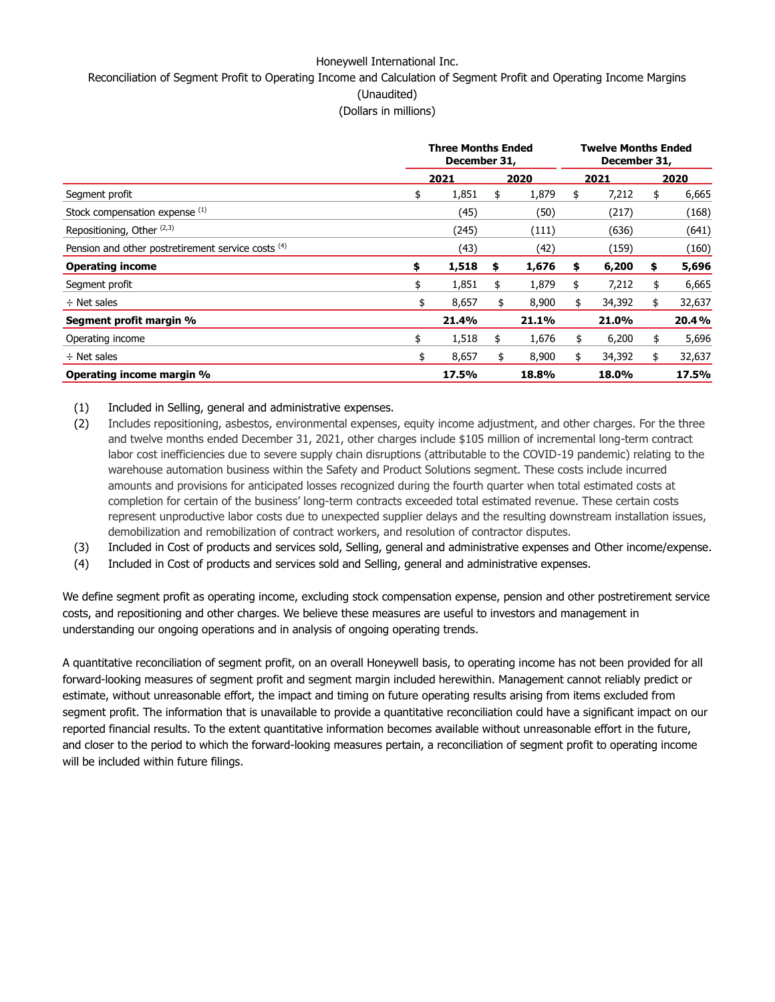### Honeywell International Inc.

Reconciliation of Segment Profit to Operating Income and Calculation of Segment Profit and Operating Income Margins

(Unaudited)

(Dollars in millions)

|                                                    | <b>Three Months Ended</b><br>December 31, |       |    |       | <b>Twelve Months Ended</b><br>December 31, |        |    |        |  |
|----------------------------------------------------|-------------------------------------------|-------|----|-------|--------------------------------------------|--------|----|--------|--|
|                                                    |                                           | 2021  |    | 2020  |                                            | 2021   |    | 2020   |  |
| Segment profit                                     | \$                                        | 1,851 | \$ | 1,879 | \$                                         | 7,212  | \$ | 6,665  |  |
| Stock compensation expense (1)                     |                                           | (45)  |    | (50)  |                                            | (217)  |    | (168)  |  |
| Repositioning, Other <sup>(2,3)</sup>              |                                           | (245) |    | (111) |                                            | (636)  |    | (641)  |  |
| Pension and other postretirement service costs (4) |                                           | (43)  |    | (42)  |                                            | (159)  |    | (160)  |  |
| <b>Operating income</b>                            | \$                                        | 1,518 | \$ | 1,676 | \$                                         | 6,200  | \$ | 5,696  |  |
| Segment profit                                     | \$                                        | 1,851 | \$ | 1,879 | \$                                         | 7,212  | \$ | 6,665  |  |
| $\div$ Net sales                                   | \$                                        | 8,657 | \$ | 8,900 | \$                                         | 34,392 | \$ | 32,637 |  |
| Segment profit margin %                            |                                           | 21.4% |    | 21.1% |                                            | 21.0%  |    | 20.4%  |  |
| Operating income                                   | \$                                        | 1,518 | \$ | 1,676 | \$                                         | 6,200  | \$ | 5,696  |  |
| $\div$ Net sales                                   | \$                                        | 8,657 | \$ | 8,900 | \$                                         | 34,392 | \$ | 32,637 |  |
| Operating income margin %                          |                                           | 17.5% |    | 18.8% |                                            | 18.0%  |    | 17.5%  |  |

(1) Included in Selling, general and administrative expenses.

- (2) Includes repositioning, asbestos, environmental expenses, equity income adjustment, and other charges. For the three and twelve months ended December 31, 2021, other charges include \$105 million of incremental long-term contract labor cost inefficiencies due to severe supply chain disruptions (attributable to the COVID-19 pandemic) relating to the warehouse automation business within the Safety and Product Solutions segment. These costs include incurred amounts and provisions for anticipated losses recognized during the fourth quarter when total estimated costs at completion for certain of the business' long-term contracts exceeded total estimated revenue. These certain costs represent unproductive labor costs due to unexpected supplier delays and the resulting downstream installation issues, demobilization and remobilization of contract workers, and resolution of contractor disputes.
- (3) Included in Cost of products and services sold, Selling, general and administrative expenses and Other income/expense.
- (4) Included in Cost of products and services sold and Selling, general and administrative expenses.

We define segment profit as operating income, excluding stock compensation expense, pension and other postretirement service costs, and repositioning and other charges. We believe these measures are useful to investors and management in understanding our ongoing operations and in analysis of ongoing operating trends.

A quantitative reconciliation of segment profit, on an overall Honeywell basis, to operating income has not been provided for all forward-looking measures of segment profit and segment margin included herewithin. Management cannot reliably predict or estimate, without unreasonable effort, the impact and timing on future operating results arising from items excluded from segment profit. The information that is unavailable to provide a quantitative reconciliation could have a significant impact on our reported financial results. To the extent quantitative information becomes available without unreasonable effort in the future, and closer to the period to which the forward-looking measures pertain, a reconciliation of segment profit to operating income will be included within future filings.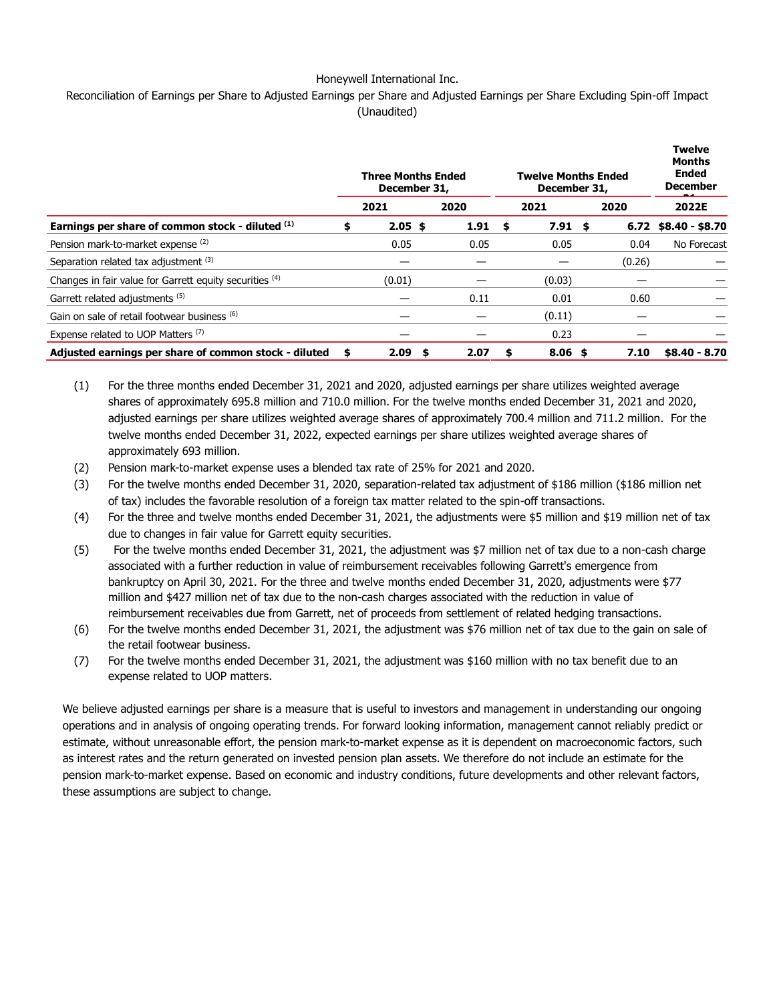### Honeywell International Inc.

### Reconciliation of Earnings per Share to Adjusted Earnings per Share and Adjusted Earnings per Share Excluding Spin-off Impact (Unaudited)

|                                                         |      | <b>Three Months Ended</b><br>December 31, |      | <b>Twelve Months Ended</b><br>December 31, |        | <b>Twelve</b><br><b>Months</b><br><b>Ended</b><br><b>December</b> |
|---------------------------------------------------------|------|-------------------------------------------|------|--------------------------------------------|--------|-------------------------------------------------------------------|
|                                                         |      | 2021                                      | 2020 | 2021                                       | 2020   | 2022E                                                             |
| Earnings per share of common stock - diluted (1)        |      | $2.05$ \$                                 | 1.91 | \$<br>$7.91$ \$                            |        | $6.72$ \$8.40 - \$8.70                                            |
| Pension mark-to-market expense (2)                      |      | 0.05                                      | 0.05 | 0.05                                       | 0.04   | No Forecast                                                       |
| Separation related tax adjustment (3)                   |      |                                           |      |                                            | (0.26) |                                                                   |
| Changes in fair value for Garrett equity securities (4) |      | (0.01)                                    |      | (0.03)                                     |        |                                                                   |
| Garrett related adjustments (5)                         |      |                                           | 0.11 | 0.01                                       | 0.60   |                                                                   |
| Gain on sale of retail footwear business (6)            |      |                                           |      | (0.11)                                     |        |                                                                   |
| Expense related to UOP Matters (7)                      |      |                                           |      | 0.23                                       |        |                                                                   |
| Adjusted earnings per share of common stock - diluted   | - 56 | 2.09<br>- \$                              | 2.07 | \$<br>$8.06$ \$                            | 7.10   | $$8.40 - 8.70$                                                    |

- (1) For the three months ended December 31, 2021 and 2020, adjusted earnings per share utilizes weighted average shares of approximately 695.8 million and 710.0 million. For the twelve months ended December 31, 2021 and 2020, adjusted earnings per share utilizes weighted average shares of approximately 700.4 million and 711.2 million. For the twelve months ended December 31, 2022, expected earnings per share utilizes weighted average shares of approximately 693 million.
- (2) Pension mark-to-market expense uses a blended tax rate of 25% for 2021 and 2020.
- (3) For the twelve months ended December 31, 2020, separation-related tax adjustment of \$186 million (\$186 million net of tax) includes the favorable resolution of a foreign tax matter related to the spin-off transactions.
- (4) For the three and twelve months ended December 31, 2021, the adjustments were \$5 million and \$19 million net of tax due to changes in fair value for Garrett equity securities.
- (5) For the twelve months ended December 31, 2021, the adjustment was \$7 million net of tax due to a non-cash charge associated with a further reduction in value of reimbursement receivables following Garrett's emergence from bankruptcy on April 30, 2021. For the three and twelve months ended December 31, 2020, adjustments were \$77 million and \$427 million net of tax due to the non-cash charges associated with the reduction in value of reimbursement receivables due from Garrett, net of proceeds from settlement of related hedging transactions.
- (6) For the twelve months ended December 31, 2021, the adjustment was \$76 million net of tax due to the gain on sale of the retail footwear business.
- (7) For the twelve months ended December 31, 2021, the adjustment was \$160 million with no tax benefit due to an expense related to UOP matters.

We believe adjusted earnings per share is a measure that is useful to investors and management in understanding our ongoing operations and in analysis of ongoing operating trends. For forward looking information, management cannot reliably predict or estimate, without unreasonable effort, the pension mark-to-market expense as it is dependent on macroeconomic factors, such as interest rates and the return generated on invested pension plan assets. We therefore do not include an estimate for the pension mark-to-market expense. Based on economic and industry conditions, future developments and other relevant factors, these assumptions are subject to change.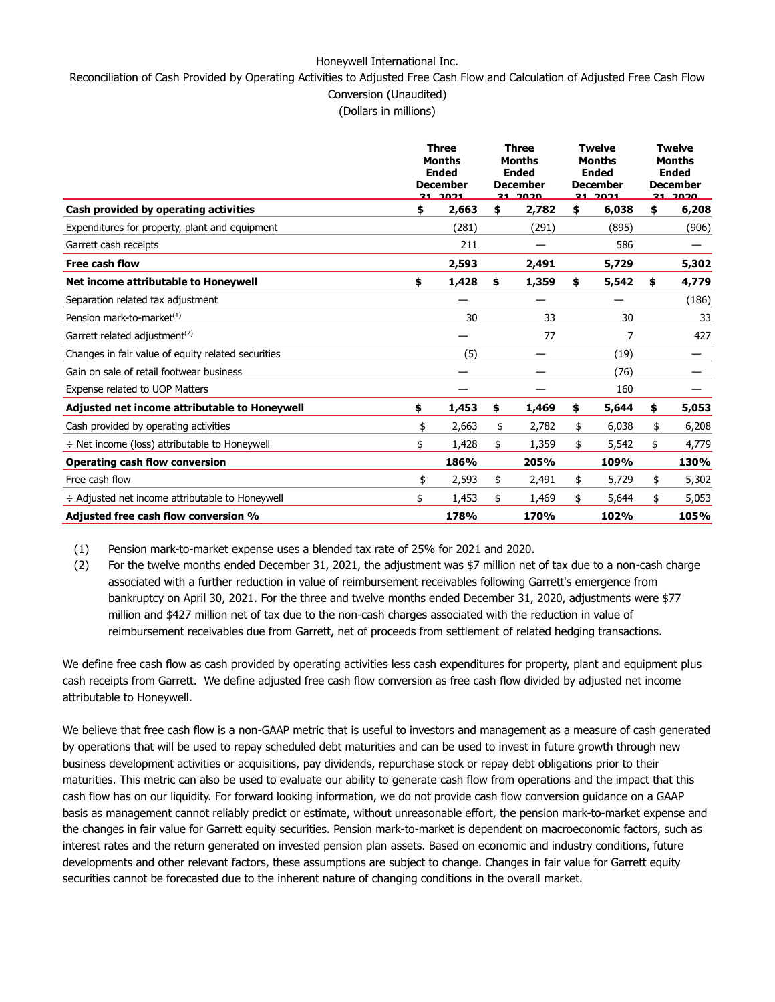#### Honeywell International Inc.

Reconciliation of Cash Provided by Operating Activities to Adjusted Free Cash Flow and Calculation of Adjusted Free Cash Flow Conversion (Unaudited)

(Dollars in millions)

|                                                      |    | <b>Three</b><br><b>Months</b><br><b>Ended</b><br><b>December</b><br>31, 2021 |    | <b>Three</b><br><b>Twelve</b><br><b>Months</b><br><b>Months</b><br><b>Ended</b><br><b>Ended</b><br><b>December</b><br><b>December</b><br><u>วา วกวก</u><br><u>1021</u><br>$31 -$ |             |    | <b>Twelve</b><br>Months<br><b>Ended</b><br><b>December</b><br><u>21 2020</u> |  |  |
|------------------------------------------------------|----|------------------------------------------------------------------------------|----|----------------------------------------------------------------------------------------------------------------------------------------------------------------------------------|-------------|----|------------------------------------------------------------------------------|--|--|
| Cash provided by operating activities                | \$ | 2,663                                                                        | \$ | 2,782                                                                                                                                                                            | \$<br>6,038 | \$ | 6,208                                                                        |  |  |
| Expenditures for property, plant and equipment       |    | (281)                                                                        |    | (291)                                                                                                                                                                            | (895)       |    | (906)                                                                        |  |  |
| Garrett cash receipts                                |    | 211                                                                          |    |                                                                                                                                                                                  | 586         |    |                                                                              |  |  |
| Free cash flow                                       |    | 2,593                                                                        |    | 2,491                                                                                                                                                                            | 5,729       |    | 5,302                                                                        |  |  |
| Net income attributable to Honeywell                 | \$ | 1,428                                                                        | \$ | 1,359                                                                                                                                                                            | \$<br>5,542 | \$ | 4,779                                                                        |  |  |
| Separation related tax adjustment                    |    |                                                                              |    |                                                                                                                                                                                  |             |    | (186)                                                                        |  |  |
| Pension mark-to-market <sup>(1)</sup>                |    | 30                                                                           |    | 33                                                                                                                                                                               | 30          |    | 33                                                                           |  |  |
| Garrett related adjustment <sup>(2)</sup>            |    |                                                                              |    | 77                                                                                                                                                                               | 7           |    | 427                                                                          |  |  |
| Changes in fair value of equity related securities   |    | (5)                                                                          |    |                                                                                                                                                                                  | (19)        |    |                                                                              |  |  |
| Gain on sale of retail footwear business             |    |                                                                              |    |                                                                                                                                                                                  | (76)        |    |                                                                              |  |  |
| Expense related to UOP Matters                       |    |                                                                              |    |                                                                                                                                                                                  | 160         |    |                                                                              |  |  |
| Adjusted net income attributable to Honeywell        | \$ | 1,453                                                                        | \$ | 1,469                                                                                                                                                                            | \$<br>5,644 | \$ | 5,053                                                                        |  |  |
| Cash provided by operating activities                | \$ | 2,663                                                                        | \$ | 2,782                                                                                                                                                                            | \$<br>6,038 | \$ | 6,208                                                                        |  |  |
| $\div$ Net income (loss) attributable to Honeywell   | \$ | 1,428                                                                        | \$ | 1,359                                                                                                                                                                            | \$<br>5,542 | \$ | 4,779                                                                        |  |  |
| <b>Operating cash flow conversion</b>                |    | 186%                                                                         |    | 205%                                                                                                                                                                             | 109%        |    | 130%                                                                         |  |  |
| Free cash flow                                       | \$ | 2,593                                                                        | \$ | 2,491                                                                                                                                                                            | \$<br>5,729 | \$ | 5,302                                                                        |  |  |
| $\div$ Adjusted net income attributable to Honeywell | \$ | 1,453                                                                        | \$ | 1,469                                                                                                                                                                            | \$<br>5,644 | \$ | 5,053                                                                        |  |  |
| <b>Adjusted free cash flow conversion %</b>          |    | 178%                                                                         |    | 170%                                                                                                                                                                             | 102%        |    | 105%                                                                         |  |  |

(1) Pension mark-to-market expense uses a blended tax rate of 25% for 2021 and 2020.

(2) For the twelve months ended December 31, 2021, the adjustment was \$7 million net of tax due to a non-cash charge associated with a further reduction in value of reimbursement receivables following Garrett's emergence from bankruptcy on April 30, 2021. For the three and twelve months ended December 31, 2020, adjustments were \$77 million and \$427 million net of tax due to the non-cash charges associated with the reduction in value of reimbursement receivables due from Garrett, net of proceeds from settlement of related hedging transactions.

We define free cash flow as cash provided by operating activities less cash expenditures for property, plant and equipment plus cash receipts from Garrett. We define adjusted free cash flow conversion as free cash flow divided by adjusted net income attributable to Honeywell.

We believe that free cash flow is a non-GAAP metric that is useful to investors and management as a measure of cash generated by operations that will be used to repay scheduled debt maturities and can be used to invest in future growth through new business development activities or acquisitions, pay dividends, repurchase stock or repay debt obligations prior to their maturities. This metric can also be used to evaluate our ability to generate cash flow from operations and the impact that this cash flow has on our liquidity. For forward looking information, we do not provide cash flow conversion guidance on a GAAP basis as management cannot reliably predict or estimate, without unreasonable effort, the pension mark-to-market expense and the changes in fair value for Garrett equity securities. Pension mark-to-market is dependent on macroeconomic factors, such as interest rates and the return generated on invested pension plan assets. Based on economic and industry conditions, future developments and other relevant factors, these assumptions are subject to change. Changes in fair value for Garrett equity securities cannot be forecasted due to the inherent nature of changing conditions in the overall market.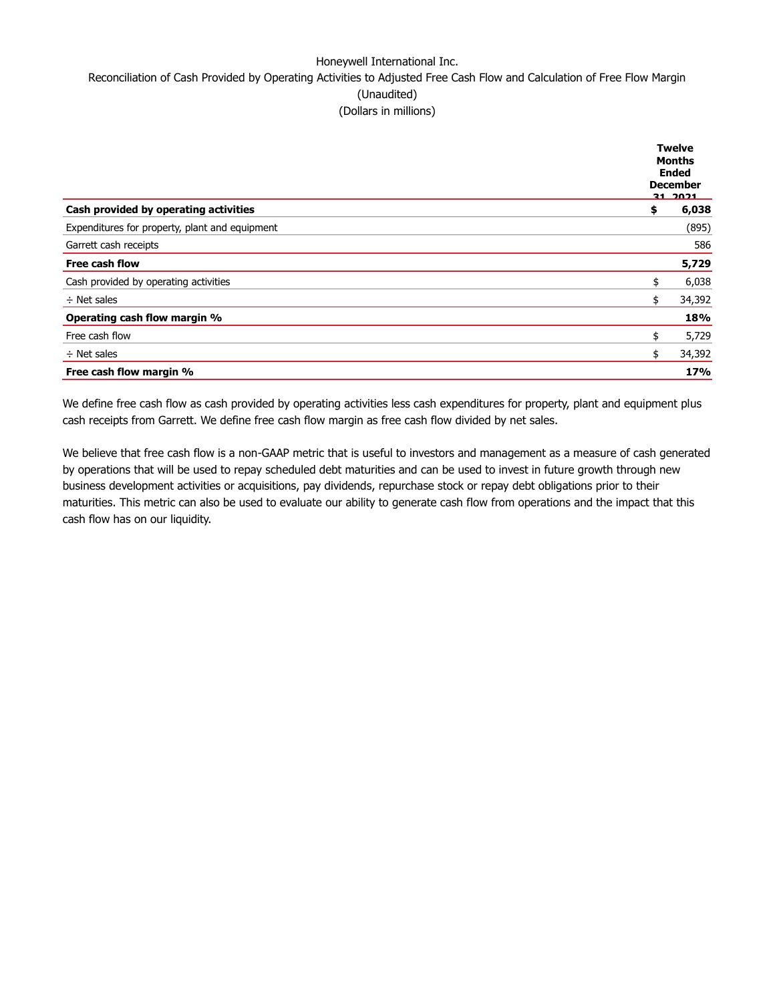## Honeywell International Inc. Reconciliation of Cash Provided by Operating Activities to Adjusted Free Cash Flow and Calculation of Free Flow Margin (Unaudited) (Dollars in millions)

|                                                | <b>Twelve</b><br>Months<br><b>Ended</b><br><b>December</b><br><u>21. 2021</u> |        |  |  |  |
|------------------------------------------------|-------------------------------------------------------------------------------|--------|--|--|--|
| Cash provided by operating activities          | \$                                                                            | 6,038  |  |  |  |
| Expenditures for property, plant and equipment |                                                                               | (895)  |  |  |  |
| Garrett cash receipts                          |                                                                               | 586    |  |  |  |
| <b>Free cash flow</b>                          |                                                                               | 5,729  |  |  |  |
| Cash provided by operating activities          | \$                                                                            | 6,038  |  |  |  |
| $\div$ Net sales                               | \$                                                                            | 34,392 |  |  |  |
| Operating cash flow margin %                   |                                                                               | 18%    |  |  |  |
| Free cash flow                                 | \$                                                                            | 5,729  |  |  |  |
| $\div$ Net sales                               | \$                                                                            | 34,392 |  |  |  |
| Free cash flow margin %                        |                                                                               | 17%    |  |  |  |

We define free cash flow as cash provided by operating activities less cash expenditures for property, plant and equipment plus cash receipts from Garrett. We define free cash flow margin as free cash flow divided by net sales.

We believe that free cash flow is a non-GAAP metric that is useful to investors and management as a measure of cash generated by operations that will be used to repay scheduled debt maturities and can be used to invest in future growth through new business development activities or acquisitions, pay dividends, repurchase stock or repay debt obligations prior to their maturities. This metric can also be used to evaluate our ability to generate cash flow from operations and the impact that this cash flow has on our liquidity.